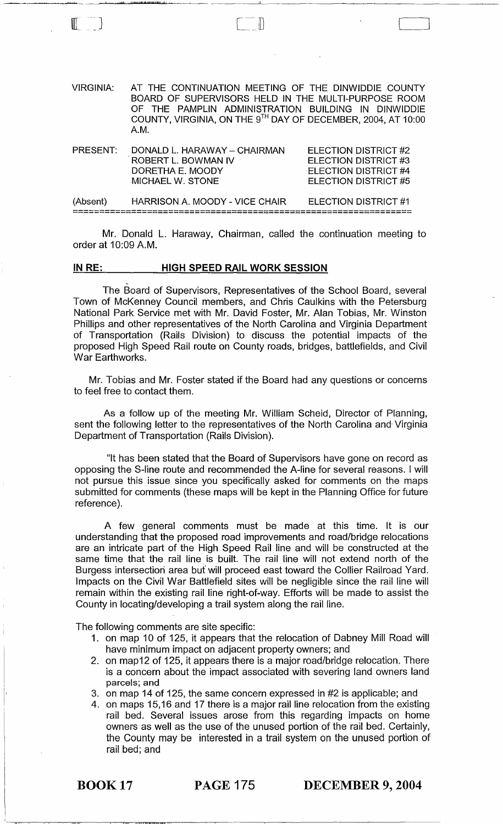[-] [ ]

Mr. Donald L. Haraway, Chairman, called the continuation meeting to order at 10:09 A.M.

# IN RE: HIGH SPEED RAIL WORK SESSION

. عمر <u>المؤسس الوالية التي التي المركز التي الموافق المدير والتواض</u>

The Board of Supervisors, Representatives of the School Board, several Town of McKenney Council members, and Chris Caulkins with the Petersburg National Park Service met with Mr. David Foster, Mr. Alan Tobias, Mr. Winston Phillips and other representatives of the North Carolina and Virginia Department of Transportation (Rails Division) to discuss the potential impacts of the proposed High Speed Rail route on County roads, bridges, battlefields, and Civil War Earthworks.

Mr. Tobias and Mr. Foster stated if the Board had any questions or concerns to feel free to contact them.

As a follow up of the meeting Mr. William Scheid, Director of Planning, sent the following letter to the representatives of the North Carolina and- Virginia Department of Transportation (Rails Division).

"It has been stated that the Board of Supervisors have gone on record as opposing the S-line route and recommended the A-line for several reasons. I will not pursue this issue since you specifically asked for comments on the maps submitted for comments (these maps will be kept in the Planning Office for future reference).

A few general comments must be made at this time. It is our understanding that the proposed road improvements and road/bridge relocations are an intricate part of the High Speed Rail line and will be constructed at the same time that the rail line is built. The rail line will not extend north of the Burgess intersection area but' will proceed east toward the Collier Railroad Yard. Impacts on the Civil War Battlefield sites will be negligible since the rail line will remain within the existing rail line right-of-way. Efforts will be made to assist the County in locating/developing a trail system along the rail line.

The following comments are site specific:

- 1. on map 10 of 125, it appears that the relocation of Dabney Mill Road will have minimum impact on adjacent property owners; and
- 2. on map12 of 125, it appears there is a major road/bridge relocation. There is a concern about the impact associated with severing land owners land parcels; and
- 3. on map 14 of 125, the same concern expressed in #2 is applicable; and
- 4. on maps 15,16 and 17 there is a major rail line relocation from the existing rail bed. Several issues arose from this regarding impacts on home owners as well as the use of the unused portion of the rail bed. Certainly, the County may be interested in a trail system on the unused portion of rail bed; and

 $\overline{\phantom{a}}$ 

BOOK 17 PAGE 175 DECEMBER 9, 2004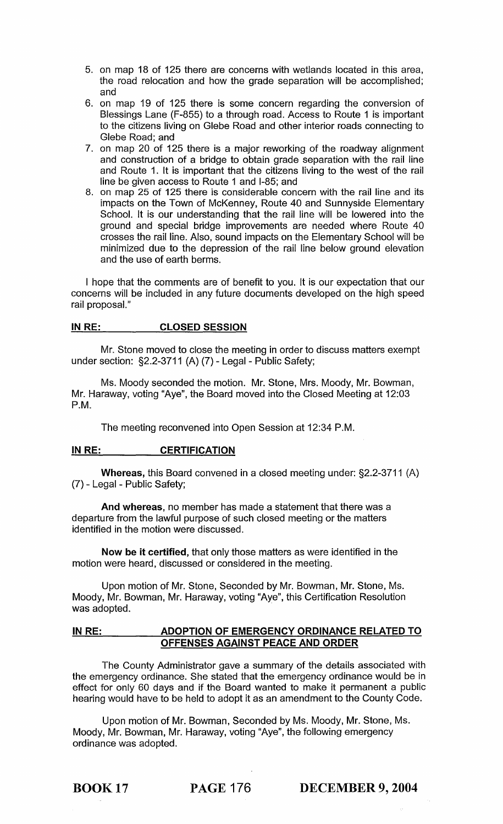- 5. on map 18 of 125 there are concerns with wetlands located in this area, the road relocation and how the grade separation will be accomplished; and
- 6. on map 19 of 125 there is some concern regarding the conversion of Blessings Lane (F-855) to a through road. Access to Route 1 is important to the citizens living on Glebe Road and other interior roads connecting to Glebe Road; and
- 7. on map 20 of 125 there is a major reworking of the roadway alignment and construction of a bridge to obtain grade separation with the rail line and Route 1. It is important that the citizens living to the west of the rail line be given access to Route 1 and 1-85; and
- 8. on map 25 of 125 there is considerable concern with the rail line and its impacts on the Town of McKenney, Route 40 and Sunnyside Elementary School. It is our understanding that the rail line will be lowered into the ground and special bridge improvements are needed where Route 40 crosses the rail line. Also, sound impacts on the Elementary School will be minimized due to the depression of the rail line below ground elevation and the use of earth berms.

I hope that the comments are of benefit to you. It is our expectation that our concerns will be included in any future documents developed on the high speed rail proposal."

# IN RE: CLOSED SESSION

Mr. Stone moved to close the meeting in order to discuss matters exempt under section: §2.2-3711 (A) (7) - Legal - Public Safety;

Ms. Moody seconded the motion. Mr. Stone, Mrs. Moody, Mr. Bowman, Mr. Haraway, voting "Aye", the Board moved into the Closed Meeting at 12:03 P.M.

The meeting reconvened into Open Session at 12:34 P.M.

## IN RE: CERTIFICATION

Whereas, this Board convened in a closed meeting under: §2.2-3711 (A) (7) - Legal - Public Safety;

And whereas, no member has made a statement that there was a departure from the lawful purpose of such closed meeting or the matters identified in the motion were discussed.

Now be it certified, that only those matters as were identified in the motion were heard, discussed or considered in the meeting.

Upon motion of Mr. Stone, Seconded by Mr. Bowman, Mr. Stone, Ms. Moody, Mr. Bowman, Mr. Haraway, voting "Aye", this Certification Resolution was adopted.

# IN RE: ADOPTION OF EMERGENCY ORDINANCE RELATED TO OFFENSES AGAINST PEACE AND ORDER

The County Administrator gave a summary of the details associated with the emergency ordinance. She stated that the emergency ordinance would be in effect for only 60 days and if the Board wanted to make it permanent a public hearing would have to be held to adopt it as an amendment to the County Code.

Upon motion of Mr. Bowman, Seconded by Ms. Moody, Mr. Stone, Ms. Moody, Mr. Bowman, Mr. Haraway, voting "Aye", the following emergency ordinance was adopted.

BOOK 17 PAGE 176 DECEMBER 9, 2004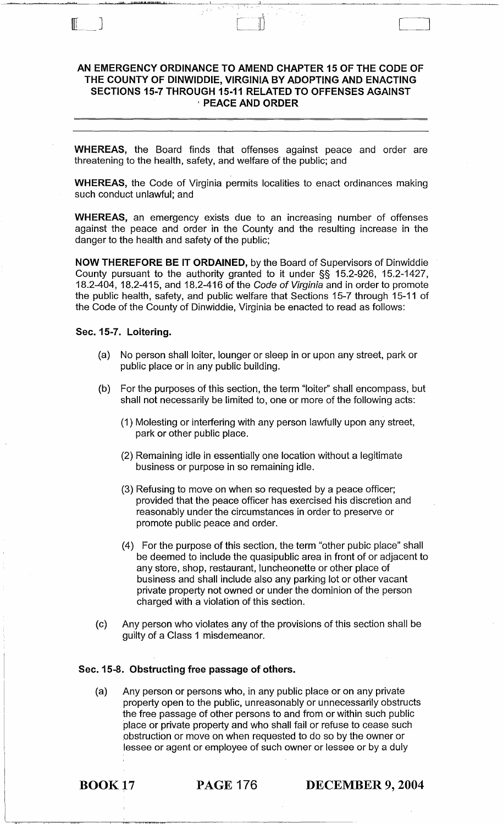# AN EMERGENCY ORDINANCE TO AMEND CHAPTER 15 OF THE CODE OF THE COUNTY OF DINWIDDIE, VIRGINIA BY ADOPTING AND ENACTING SECTIONS 15-7 THROUGH 15-11 RELATED TO OFFENSES AGAINST , PEACE AND ORDER

WHEREAS, the Board finds that offenses against peace and order are threatening to the health, safety, and welfare of the public; and

WHEREAS, the Code of Virginia permits localities to enact ordinances making such conduct unlawful; and

WHEREAS, an emergency exists due to an increasing number of offenses against the peace and order in the County and the resulting increase in the danger to the health and safety of the public;

NOW THEREFORE BE IT ORDAINED, by the Board of Supervisors of Dinwiddie County pursuant to the authority granted to it under §§ 15.2-926, 15.2-1427, 18.2-404, 18.2-415, and 18.2-416 of the Code of Virginia and in order to promote the public health, safety, and public welfare that Sections 15-7 through 15-11 of the Code of the County of Dinwiddie, Virginia be enacted to read as follows:

#### Sec. 15-7. Loitering.

wii jiuli jiuli jiuli kata wa kata wa kata ma

 $\mathbb{F}$   $\mathbb{F}$ 

- (a) No person shall loiter, lounger or sleep in or upon any street, park or public place or in any public building.
- (b) For the purposes of this section, the term "loiter" shall encompass, but shall not necessarily be limited to, one or more of the following acts:
	- (1) Molesting or interfering with any person lawfully upon any street, park or other public place.
	- (2) Remaining idle in essentially one location without a legitimate business or purpose in so remaining idle.
	- (3) Refusing to move on when so requested by a peace officer; provided that the peace officer has exercised his discretion and reasonably under the circumstances in order to preserve or promote public peace and order.
	- (4) For the purpose of this section, the term "other pubic place" shall be deemed to include the quasipublic area in front of or adjacent to any store, shop, restaurant, luncheonette or other place of business and shall include also any parking lot or other vacant private property not owned or under the dominion of the person charged with a violation of this section.
- (c) Any person who violates any of the provisions of this section shall be guilty of a Class 1 misdemeanor.

### Sec. 15-8. Obstructing free passage of others.

(a) Any person or persons who, in any public place or on any private property open to the public, unreasonably or unnecessarily obstructs the free passage of other persons to and from or within such public place or private property and who shall fail or refuse to cease such obstruction or move on when requested to do so by the owner or lessee or agent or employee of such owner or lessee or by a duly

BOOK 17 PAGE 176 DECEMBER 9, 2004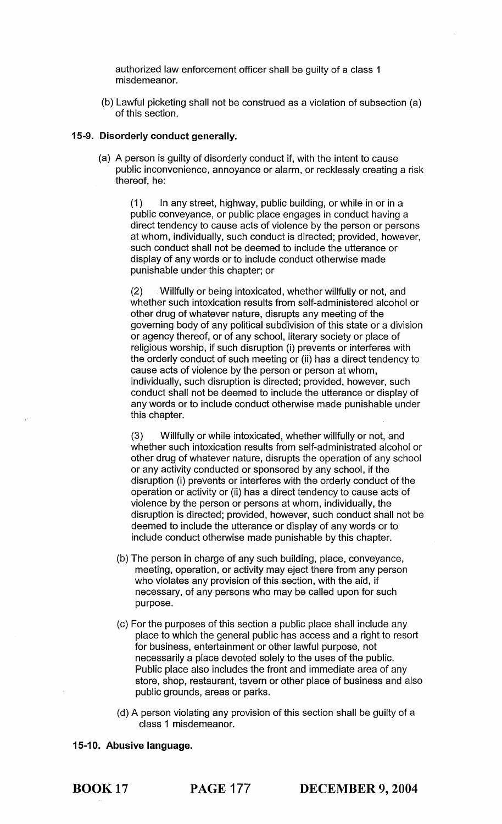authorized law enforcement officer shall be guilty of a class 1 misdemeanor.

(b) Lawful picketing shall not be construed as a violation of subsection (a) of this section.

# 15-9. Disorderly conduct generally.

(a) A person is guilty of disorderly conduct if, with the intent to cause public inconvenience, annoyance or alarm, or recklessly creating a risk thereof, he:

(1) In any street, highway, public building, or while in or in a public conveyance, or public place engages in conduct having a direct tendency to cause acts of violence by the person or persons at whom, individually, such conduct is directed; provided, however, such conduct shall not be deemed to include the utterance or display of any words or to include conduct otherwise made punishable under this chapter; or

(2) . Willfully or being intoxicated, whether willfully or not, and whether such intoxication results from self-administered alcohol or other drug of whatever nature, disrupts any meeting of the governing body of any political subdivision of this state or a division or agency thereof, or of any school, literary society or place of religious worship, if such disruption (i) prevents or interferes with the orderly conduct of such meeting or (ii) has a direct tendency to cause acts of violence by the person or person at whom, individually, such disruption is directed; provided, however, such conduct shall not be deemed to include the utterance or display of any words or to include conduct otherwise made punishable under this chapter.

(3) Willfully or while intoxicated, whether willfully or not, and whether such intoxication results from self-administrated alcohol or other drug of whatever nature, disrupts the operation of any school or any activity conducted or sponsored by any school, if the disruption (i) prevents or interferes with the orderly conduct of the operation or activity or (ii) has a direct tendency to cause acts of violence by the person or persons at whom, individually, the disruption is directed; provided, however, such conduct shall not be deemed to include the utterance or display of any words or to include conduct otherwise made punishable by this chapter.

- (b) The person in charge of any such building, place, conveyance, meeting, operation, or activity may eject there from any person who violates any provision of this section, with the aid, if necessary, of any persons who may be called upon for such purpose.
- (c) For the purposes of this section a public place shall include any place to which the general public has access and a right to resort for business, entertainment or other lawful purpose, not necessarily a place devoted solely to the uses of the public. Public place also includes the front and immediate area of any store, shop, restaurant, tavern or other place of business and also public grounds, areas or parks.
- (d) A person violating any provision of this section shall be guilty of a class 1 misdemeanor.

# 15-10. Abusive language.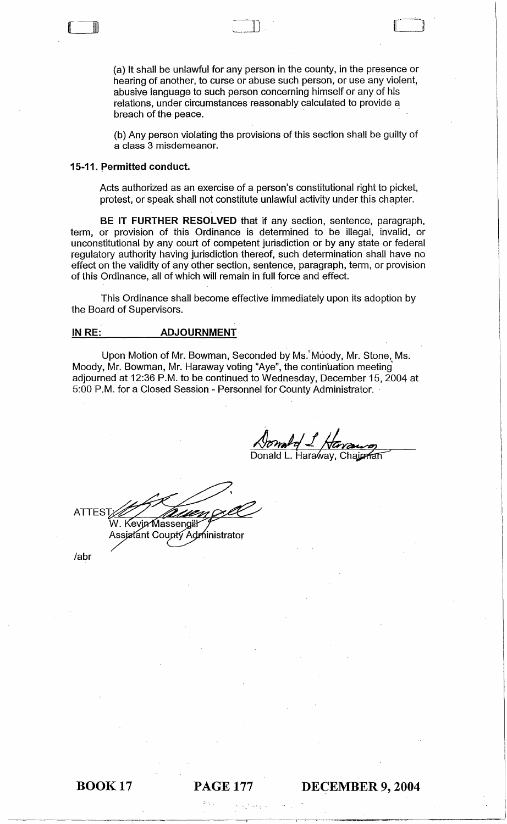(a) It shall be unlawful for any person in the county, in the presence or hearing of another, to curse or abuse such person, or use any violent, abusive language to such person concerning himself or any of his relations, under circumstances reasonably calculated to provide a breach of the peace.

~l .. " ....... ,..;u . [\_OJ

(b) Any person violating the provisions of this section shall be guilty of a class 3 misdemeanor.

#### 15-11. permitted conduct.

(~ \_\_\_

Acts authorized as an exercise of a person's constitutional right to picket, protest, or speak shall not constitute unlawful activity under this chapter.

BE IT FURTHER RESOLVED that if any section, sentence, paragraph, term, or provision of this Ordinance is determined to be illegal, invalid, or unconstitutional by any court of competent jurisdiction or by any state or federal regulatory authority having jurisdiction thereof, such determination shall have no effect on the validity of any other section, sentence, paragraph, term, or provision of this Ordinance, all of which will remain in full force and effect.

This Ordinance shall become effective immediately upon its adoption by the Board of Supervisors.

## IN RE: ADJOURNMENT

Upon Motion of Mr. Bowman, Seconded by Ms. Moody, Mr. Stone, Ms. Moody, Mr. Bowman, Mr. Haraway voting "Aye", the continuation meeting adjourned at 12:36 P.M. to be continued to Wednesday, December 15, 2004 at 5:00 P.M. for a Closed Session - Personnel for County Administrator.

Donald L. Haraway, Chairman

**ATTES** W. Kevin Massengill Assistant Coupty Administrator

labr

# BOOK 17 PAGE 177 DECEMBER 9, 2004

,,-------\_0\_0 \_\_\_\_ ., *, .....* Hi'\_ .... *'H*